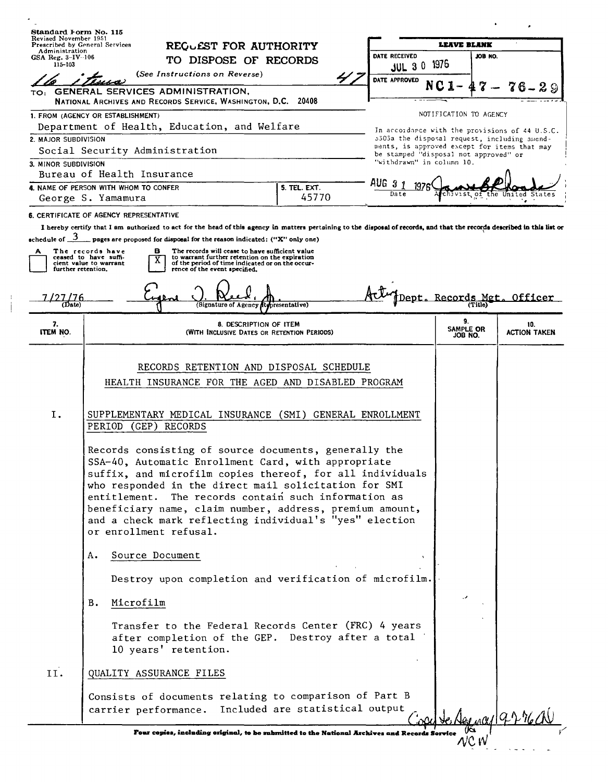| Revised November 1951<br><b>LEAVE BLANK</b><br><b>Prescribed by General Services</b><br>REQUEST FOR AUTHORITY<br>Administration<br>DATE RECEIVED<br>JOB NO.<br>GSA Reg. $3-IV-106$<br>TO DISPOSE OF RECORDS<br>1975<br>$115 - 103$<br>$JUL$ 3 0<br>(See Instructions on Reverse)<br>DATE APPROVED<br><b>GENERAL SERVICES ADMINISTRATION,</b><br>TO:<br>NATIONAL ARCHIVES AND RECORDS SERVICE, WASHINGTON, D.C. 20408<br>NOTIFICATION TO AGENCY<br>1. FROM (AGENCY OR ESTABLISHMENT)<br>Department of Health, Education, and Welfare<br>In accordance with the provisions of 44 U.S.C.<br>2. MAJOR SUBDIVISION<br>5303a the disposal request, including smend-<br>ments, is approved except for items that may<br>Social Security Administration<br>be stamped "disposal not approved" or<br>"withdrawn" in column 10.<br>3. MINOR SUBDIVISION<br>Bureau of Health Insurance<br>aug<br>-3<br>4. NAME OF PERSON WITH WHOM TO CONFER<br><b>5. TEL. EXT.</b><br>Date<br>the<br>45770<br>George S. Yamamura<br>6. CERTIFICATE OF AGENCY REPRESENTATIVE<br>I hereby certify that I am authorized to act for the head of this agency in matters pertaining to the disposal of records, and that the records described in this list or<br>$\equiv$ pages are proposed for disposal for the reason indicated: ("X" only one)<br>в<br>The records will cease to have sufficient value<br>The records have<br>А<br>to warrant further retention on the expiration<br>ceased to have suffi-<br>of the period of time indicated or on the occur-<br>cient value to warrant<br>further retention.<br>rence of the event specified.<br>Records<br>Dept.<br>97176<br>(Date)<br>(Signature of Agency<br>presentative)<br>9.<br>7.<br>8. DESCRIPTION OF ITEM<br>10.<br>SAMPLE OR<br><b>ITEM NO.</b><br>(WITH INCLUSIVE DATES OR RETENTION PERIODS)<br>JOB NO.<br>RECORDS RETENTION AND DISPOSAL SCHEDULE<br>HEALTH INSURANCE FOR THE AGED AND DISABLED PROGRAM<br>Ι.<br>SUPPLEMENTARY MEDICAL INSURANCE (SMI) GENERAL ENROLLMENT<br>PERIOD<br>(GEP)<br>RECORDS<br>Records consisting of source documents, generally the<br>SSA-40, Automatic Enrollment Card, with appropriate<br>suffix, and microfilm copies thereof, for all individuals<br>who responded in the direct mail solicitation for SMI<br>The records contain such information as<br>entitlement.<br>beneficiary name, claim number, address, premium amount,<br>and a check mark reflecting individual's "yes" election<br>or enrollment refusal.<br>Source Document<br>Α.<br>Destroy upon completion and verification of microfilm.<br>Microfilm<br>B.<br>Transfer to the Federal Records Center (FRC) 4 years<br>after completion of the GEP. Destroy after a total<br>10 years' retention.<br>II.<br>QUALITY ASSURANCE FILES<br>Consists of documents relating to comparison of Part B<br>Included are statistical output<br>carrier performance.<br>ma1 9.2 m<br>Four copies, including original, to be submitted to the National Archives and Records So | Standard Form No. 115 |  |  |  |  |               |                     |
|------------------------------------------------------------------------------------------------------------------------------------------------------------------------------------------------------------------------------------------------------------------------------------------------------------------------------------------------------------------------------------------------------------------------------------------------------------------------------------------------------------------------------------------------------------------------------------------------------------------------------------------------------------------------------------------------------------------------------------------------------------------------------------------------------------------------------------------------------------------------------------------------------------------------------------------------------------------------------------------------------------------------------------------------------------------------------------------------------------------------------------------------------------------------------------------------------------------------------------------------------------------------------------------------------------------------------------------------------------------------------------------------------------------------------------------------------------------------------------------------------------------------------------------------------------------------------------------------------------------------------------------------------------------------------------------------------------------------------------------------------------------------------------------------------------------------------------------------------------------------------------------------------------------------------------------------------------------------------------------------------------------------------------------------------------------------------------------------------------------------------------------------------------------------------------------------------------------------------------------------------------------------------------------------------------------------------------------------------------------------------------------------------------------------------------------------------------------------------------------------------------------------------------------------------------------------------------------------------------------------------------------------------------------------------------------------------------------------------------------------------------------------------------------------------------------------------------------------------------------------------------------------------------------------------------------------------------------------------------------------------------|-----------------------|--|--|--|--|---------------|---------------------|
|                                                                                                                                                                                                                                                                                                                                                                                                                                                                                                                                                                                                                                                                                                                                                                                                                                                                                                                                                                                                                                                                                                                                                                                                                                                                                                                                                                                                                                                                                                                                                                                                                                                                                                                                                                                                                                                                                                                                                                                                                                                                                                                                                                                                                                                                                                                                                                                                                                                                                                                                                                                                                                                                                                                                                                                                                                                                                                                                                                                                            |                       |  |  |  |  |               |                     |
|                                                                                                                                                                                                                                                                                                                                                                                                                                                                                                                                                                                                                                                                                                                                                                                                                                                                                                                                                                                                                                                                                                                                                                                                                                                                                                                                                                                                                                                                                                                                                                                                                                                                                                                                                                                                                                                                                                                                                                                                                                                                                                                                                                                                                                                                                                                                                                                                                                                                                                                                                                                                                                                                                                                                                                                                                                                                                                                                                                                                            |                       |  |  |  |  |               |                     |
|                                                                                                                                                                                                                                                                                                                                                                                                                                                                                                                                                                                                                                                                                                                                                                                                                                                                                                                                                                                                                                                                                                                                                                                                                                                                                                                                                                                                                                                                                                                                                                                                                                                                                                                                                                                                                                                                                                                                                                                                                                                                                                                                                                                                                                                                                                                                                                                                                                                                                                                                                                                                                                                                                                                                                                                                                                                                                                                                                                                                            |                       |  |  |  |  |               |                     |
|                                                                                                                                                                                                                                                                                                                                                                                                                                                                                                                                                                                                                                                                                                                                                                                                                                                                                                                                                                                                                                                                                                                                                                                                                                                                                                                                                                                                                                                                                                                                                                                                                                                                                                                                                                                                                                                                                                                                                                                                                                                                                                                                                                                                                                                                                                                                                                                                                                                                                                                                                                                                                                                                                                                                                                                                                                                                                                                                                                                                            |                       |  |  |  |  |               |                     |
|                                                                                                                                                                                                                                                                                                                                                                                                                                                                                                                                                                                                                                                                                                                                                                                                                                                                                                                                                                                                                                                                                                                                                                                                                                                                                                                                                                                                                                                                                                                                                                                                                                                                                                                                                                                                                                                                                                                                                                                                                                                                                                                                                                                                                                                                                                                                                                                                                                                                                                                                                                                                                                                                                                                                                                                                                                                                                                                                                                                                            |                       |  |  |  |  |               |                     |
|                                                                                                                                                                                                                                                                                                                                                                                                                                                                                                                                                                                                                                                                                                                                                                                                                                                                                                                                                                                                                                                                                                                                                                                                                                                                                                                                                                                                                                                                                                                                                                                                                                                                                                                                                                                                                                                                                                                                                                                                                                                                                                                                                                                                                                                                                                                                                                                                                                                                                                                                                                                                                                                                                                                                                                                                                                                                                                                                                                                                            |                       |  |  |  |  |               |                     |
|                                                                                                                                                                                                                                                                                                                                                                                                                                                                                                                                                                                                                                                                                                                                                                                                                                                                                                                                                                                                                                                                                                                                                                                                                                                                                                                                                                                                                                                                                                                                                                                                                                                                                                                                                                                                                                                                                                                                                                                                                                                                                                                                                                                                                                                                                                                                                                                                                                                                                                                                                                                                                                                                                                                                                                                                                                                                                                                                                                                                            |                       |  |  |  |  |               |                     |
|                                                                                                                                                                                                                                                                                                                                                                                                                                                                                                                                                                                                                                                                                                                                                                                                                                                                                                                                                                                                                                                                                                                                                                                                                                                                                                                                                                                                                                                                                                                                                                                                                                                                                                                                                                                                                                                                                                                                                                                                                                                                                                                                                                                                                                                                                                                                                                                                                                                                                                                                                                                                                                                                                                                                                                                                                                                                                                                                                                                                            |                       |  |  |  |  |               |                     |
|                                                                                                                                                                                                                                                                                                                                                                                                                                                                                                                                                                                                                                                                                                                                                                                                                                                                                                                                                                                                                                                                                                                                                                                                                                                                                                                                                                                                                                                                                                                                                                                                                                                                                                                                                                                                                                                                                                                                                                                                                                                                                                                                                                                                                                                                                                                                                                                                                                                                                                                                                                                                                                                                                                                                                                                                                                                                                                                                                                                                            |                       |  |  |  |  |               |                     |
|                                                                                                                                                                                                                                                                                                                                                                                                                                                                                                                                                                                                                                                                                                                                                                                                                                                                                                                                                                                                                                                                                                                                                                                                                                                                                                                                                                                                                                                                                                                                                                                                                                                                                                                                                                                                                                                                                                                                                                                                                                                                                                                                                                                                                                                                                                                                                                                                                                                                                                                                                                                                                                                                                                                                                                                                                                                                                                                                                                                                            |                       |  |  |  |  | United States |                     |
|                                                                                                                                                                                                                                                                                                                                                                                                                                                                                                                                                                                                                                                                                                                                                                                                                                                                                                                                                                                                                                                                                                                                                                                                                                                                                                                                                                                                                                                                                                                                                                                                                                                                                                                                                                                                                                                                                                                                                                                                                                                                                                                                                                                                                                                                                                                                                                                                                                                                                                                                                                                                                                                                                                                                                                                                                                                                                                                                                                                                            |                       |  |  |  |  |               |                     |
|                                                                                                                                                                                                                                                                                                                                                                                                                                                                                                                                                                                                                                                                                                                                                                                                                                                                                                                                                                                                                                                                                                                                                                                                                                                                                                                                                                                                                                                                                                                                                                                                                                                                                                                                                                                                                                                                                                                                                                                                                                                                                                                                                                                                                                                                                                                                                                                                                                                                                                                                                                                                                                                                                                                                                                                                                                                                                                                                                                                                            | schedule of 3         |  |  |  |  |               | Officer             |
|                                                                                                                                                                                                                                                                                                                                                                                                                                                                                                                                                                                                                                                                                                                                                                                                                                                                                                                                                                                                                                                                                                                                                                                                                                                                                                                                                                                                                                                                                                                                                                                                                                                                                                                                                                                                                                                                                                                                                                                                                                                                                                                                                                                                                                                                                                                                                                                                                                                                                                                                                                                                                                                                                                                                                                                                                                                                                                                                                                                                            |                       |  |  |  |  |               |                     |
|                                                                                                                                                                                                                                                                                                                                                                                                                                                                                                                                                                                                                                                                                                                                                                                                                                                                                                                                                                                                                                                                                                                                                                                                                                                                                                                                                                                                                                                                                                                                                                                                                                                                                                                                                                                                                                                                                                                                                                                                                                                                                                                                                                                                                                                                                                                                                                                                                                                                                                                                                                                                                                                                                                                                                                                                                                                                                                                                                                                                            |                       |  |  |  |  |               | <b>ACTION TAKEN</b> |
|                                                                                                                                                                                                                                                                                                                                                                                                                                                                                                                                                                                                                                                                                                                                                                                                                                                                                                                                                                                                                                                                                                                                                                                                                                                                                                                                                                                                                                                                                                                                                                                                                                                                                                                                                                                                                                                                                                                                                                                                                                                                                                                                                                                                                                                                                                                                                                                                                                                                                                                                                                                                                                                                                                                                                                                                                                                                                                                                                                                                            |                       |  |  |  |  |               |                     |
|                                                                                                                                                                                                                                                                                                                                                                                                                                                                                                                                                                                                                                                                                                                                                                                                                                                                                                                                                                                                                                                                                                                                                                                                                                                                                                                                                                                                                                                                                                                                                                                                                                                                                                                                                                                                                                                                                                                                                                                                                                                                                                                                                                                                                                                                                                                                                                                                                                                                                                                                                                                                                                                                                                                                                                                                                                                                                                                                                                                                            |                       |  |  |  |  |               |                     |
|                                                                                                                                                                                                                                                                                                                                                                                                                                                                                                                                                                                                                                                                                                                                                                                                                                                                                                                                                                                                                                                                                                                                                                                                                                                                                                                                                                                                                                                                                                                                                                                                                                                                                                                                                                                                                                                                                                                                                                                                                                                                                                                                                                                                                                                                                                                                                                                                                                                                                                                                                                                                                                                                                                                                                                                                                                                                                                                                                                                                            |                       |  |  |  |  |               |                     |
|                                                                                                                                                                                                                                                                                                                                                                                                                                                                                                                                                                                                                                                                                                                                                                                                                                                                                                                                                                                                                                                                                                                                                                                                                                                                                                                                                                                                                                                                                                                                                                                                                                                                                                                                                                                                                                                                                                                                                                                                                                                                                                                                                                                                                                                                                                                                                                                                                                                                                                                                                                                                                                                                                                                                                                                                                                                                                                                                                                                                            |                       |  |  |  |  |               |                     |
|                                                                                                                                                                                                                                                                                                                                                                                                                                                                                                                                                                                                                                                                                                                                                                                                                                                                                                                                                                                                                                                                                                                                                                                                                                                                                                                                                                                                                                                                                                                                                                                                                                                                                                                                                                                                                                                                                                                                                                                                                                                                                                                                                                                                                                                                                                                                                                                                                                                                                                                                                                                                                                                                                                                                                                                                                                                                                                                                                                                                            |                       |  |  |  |  |               |                     |
|                                                                                                                                                                                                                                                                                                                                                                                                                                                                                                                                                                                                                                                                                                                                                                                                                                                                                                                                                                                                                                                                                                                                                                                                                                                                                                                                                                                                                                                                                                                                                                                                                                                                                                                                                                                                                                                                                                                                                                                                                                                                                                                                                                                                                                                                                                                                                                                                                                                                                                                                                                                                                                                                                                                                                                                                                                                                                                                                                                                                            |                       |  |  |  |  |               |                     |
|                                                                                                                                                                                                                                                                                                                                                                                                                                                                                                                                                                                                                                                                                                                                                                                                                                                                                                                                                                                                                                                                                                                                                                                                                                                                                                                                                                                                                                                                                                                                                                                                                                                                                                                                                                                                                                                                                                                                                                                                                                                                                                                                                                                                                                                                                                                                                                                                                                                                                                                                                                                                                                                                                                                                                                                                                                                                                                                                                                                                            |                       |  |  |  |  |               |                     |
|                                                                                                                                                                                                                                                                                                                                                                                                                                                                                                                                                                                                                                                                                                                                                                                                                                                                                                                                                                                                                                                                                                                                                                                                                                                                                                                                                                                                                                                                                                                                                                                                                                                                                                                                                                                                                                                                                                                                                                                                                                                                                                                                                                                                                                                                                                                                                                                                                                                                                                                                                                                                                                                                                                                                                                                                                                                                                                                                                                                                            |                       |  |  |  |  |               |                     |

 $\begin{array}{c} I \\ \hline \end{array}$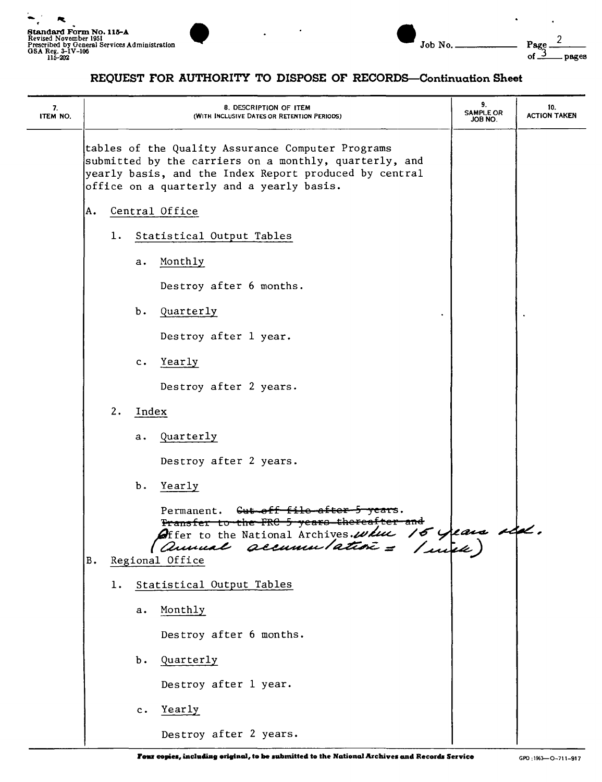



## REQUEST FOR AUTHORITY TO DISPOSE OF RECORDS-Continuation Sheet

| 7.<br>ITEM NO. | 8. DESCRIPTION OF ITEM<br>(WITH INCLUSIVE DATES OR RETENTION PERIODS)                                                                                                                                              |                | 9.<br><b>SAMPLE OR</b><br><b>JOB NO.</b>                                                                                                                                   | 10.<br><b>ACTION TAKEN</b> |  |
|----------------|--------------------------------------------------------------------------------------------------------------------------------------------------------------------------------------------------------------------|----------------|----------------------------------------------------------------------------------------------------------------------------------------------------------------------------|----------------------------|--|
|                | tables of the Quality Assurance Computer Programs<br>submitted by the carriers on a monthly, quarterly, and<br>yearly basis, and the Index Report produced by central<br>office on a quarterly and a yearly basis. |                |                                                                                                                                                                            |                            |  |
|                | A.                                                                                                                                                                                                                 | Central Office |                                                                                                                                                                            |                            |  |
|                | Statistical Output Tables<br>1.                                                                                                                                                                                    |                |                                                                                                                                                                            |                            |  |
|                | Monthly<br>а.                                                                                                                                                                                                      |                |                                                                                                                                                                            |                            |  |
|                | Destroy after 6 months.                                                                                                                                                                                            |                |                                                                                                                                                                            |                            |  |
|                |                                                                                                                                                                                                                    |                | b. Quarterly                                                                                                                                                               |                            |  |
|                |                                                                                                                                                                                                                    |                | Destroy after 1 year.                                                                                                                                                      |                            |  |
|                |                                                                                                                                                                                                                    | $c_{\bullet}$  | Yearly                                                                                                                                                                     |                            |  |
|                |                                                                                                                                                                                                                    |                | Destroy after 2 years.                                                                                                                                                     |                            |  |
|                | 2.<br>Index                                                                                                                                                                                                        |                |                                                                                                                                                                            |                            |  |
|                |                                                                                                                                                                                                                    |                | a. Quarterly                                                                                                                                                               |                            |  |
|                |                                                                                                                                                                                                                    |                | Destroy after 2 years.                                                                                                                                                     |                            |  |
|                |                                                                                                                                                                                                                    | Ъ.             | Yearly                                                                                                                                                                     |                            |  |
|                | $\bf{B}$                                                                                                                                                                                                           |                | Permanent. Cut off file after 5 years.<br><del>Pransfer to the FRC 5 years thereafter and</del><br>Offer to the National Archives. where 16 years side.<br>Regional Office |                            |  |
|                | 1.                                                                                                                                                                                                                 |                | Statistical Output Tables                                                                                                                                                  |                            |  |
|                |                                                                                                                                                                                                                    | а.             | Monthly                                                                                                                                                                    |                            |  |
|                |                                                                                                                                                                                                                    |                | Destroy after 6 months.                                                                                                                                                    |                            |  |
|                |                                                                                                                                                                                                                    | Ъ.             | Quarterly                                                                                                                                                                  |                            |  |
|                |                                                                                                                                                                                                                    |                | Destroy after 1 year.                                                                                                                                                      |                            |  |
|                |                                                                                                                                                                                                                    | $\mathbf c$ .  | Yearly                                                                                                                                                                     |                            |  |
|                |                                                                                                                                                                                                                    |                | Destroy after 2 years.                                                                                                                                                     |                            |  |